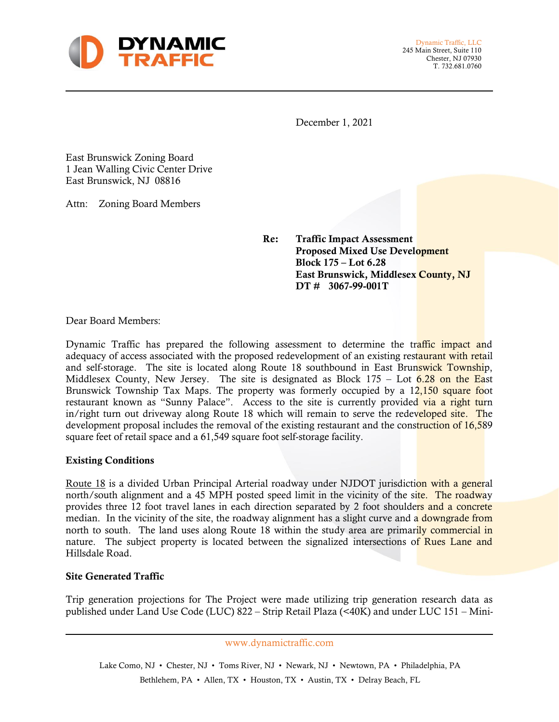

Dynamic Traffic, LLC 245 Main Street, Suite 110 Chester, NJ 07930 T. 732.681.0760

December 1, 2021

East Brunswick Zoning Board 1 Jean Walling Civic Center Drive East Brunswick, NJ 08816

Attn: Zoning Board Members

Re: Traffic Impact Assessment Proposed Mixed Use Development Block 175 – Lot 6.28 East Brunswick, Middlesex County, NJ DT # 3067-99-001T

Dear Board Members:

Dynamic Traffic has prepared the following assessment to determine the traffic impact and adequacy of access associated with the proposed redevelopment of an existing restaurant with retail and self-storage. The site is located along Route 18 southbound in East Brunswick Township, Middlesex County, New Jersey. The site is designated as Block  $175 -$  Lot  $6.28$  on the East Brunswick Township Tax Maps. The property was formerly occupied by a 12,150 square foot restaurant known as "Sunny Palace". Access to the site is currently provided via a right turn in/right turn out driveway along Route 18 which will remain to serve the redeveloped site. The development proposal includes the removal of the existing restaurant and the construction of 16,589 square feet of retail space and a 61,549 square foot self-storage facility.

## Existing Conditions

Route 18 is a divided Urban Principal Arterial roadway under NJDOT jurisdiction with a general north/south alignment and a 45 MPH posted speed limit in the vicinity of the site. The roadway provides three 12 foot travel lanes in each direction separated by 2 foot shoulders and a concrete median. In the vicinity of the site, the roadway alignment has a slight curve and a downgrade from north to south. The land uses along Route 18 within the study area are primarily commercial in nature. The subject property is located between the signalized intersections of Rues Lane and Hillsdale Road.

## Site Generated Traffic

Trip generation projections for The Project were made utilizing trip generation research data as published under Land Use Code (LUC) 822 – Strip Retail Plaza (<40K) and under LUC 151 – Mini-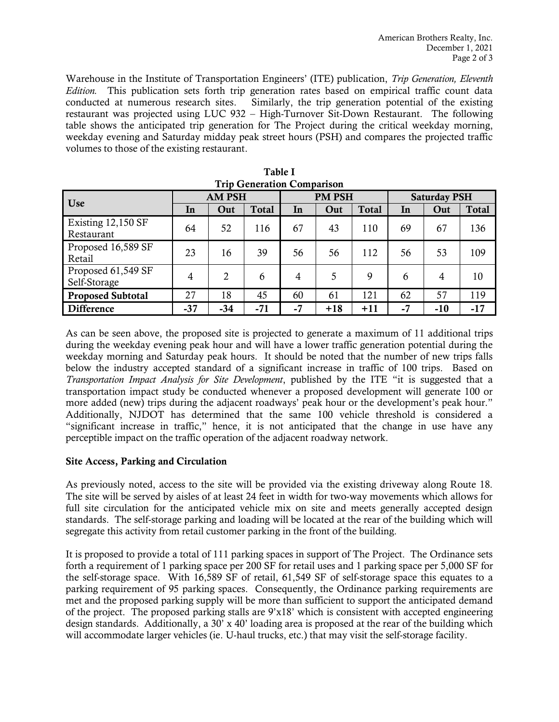Warehouse in the Institute of Transportation Engineers' (ITE) publication, *Trip Generation, Eleventh Edition.* This publication sets forth trip generation rates based on empirical traffic count data conducted at numerous research sites. Similarly, the trip generation potential of the existing restaurant was projected using LUC 932 – High-Turnover Sit-Down Restaurant. The following table shows the anticipated trip generation for The Project during the critical weekday morning, weekday evening and Saturday midday peak street hours (PSH) and compares the projected traffic volumes to those of the existing restaurant.

| Trip Generation Comparison         |               |       |              |               |       |              |                     |       |              |  |
|------------------------------------|---------------|-------|--------------|---------------|-------|--------------|---------------------|-------|--------------|--|
| <b>Use</b>                         | <b>AM PSH</b> |       |              | <b>PM PSH</b> |       |              | <b>Saturday PSH</b> |       |              |  |
|                                    | In            | Out   | <b>Total</b> | In            | Out   | <b>Total</b> | In                  | Out   | <b>Total</b> |  |
| Existing 12,150 SF<br>Restaurant   | 64            | 52    | 116          | 67            | 43    | 110          | 69                  | 67    | 136          |  |
| Proposed 16,589 SF<br>Retail       | 23            | 16    | 39           | 56            | 56    | 112          | 56                  | 53    | 109          |  |
| Proposed 61,549 SF<br>Self-Storage | 4             | 2     | 6            | 4             | 5     | 9            | 6                   | 4     | 10           |  |
| <b>Proposed Subtotal</b>           | 27            | 18    | 45           | 60            | 61    | 121          | 62                  | 57    | 119          |  |
| <b>Difference</b>                  | $-37$         | $-34$ | $-71$        | -7            | $+18$ | $+11$        | $-7$                | $-10$ | $-17$        |  |

|  | Table I                           |  |
|--|-----------------------------------|--|
|  | <b>Trip Generation Comparison</b> |  |

As can be seen above, the proposed site is projected to generate a maximum of 11 additional trips during the weekday evening peak hour and will have a lower traffic generation potential during the weekday morning and Saturday peak hours. It should be noted that the number of new trips falls below the industry accepted standard of a significant increase in traffic of 100 trips. Based on *Transportation Impact Analysis for Site Development*, published by the ITE "it is suggested that a transportation impact study be conducted whenever a proposed development will generate 100 or more added (new) trips during the adjacent roadways' peak hour or the development's peak hour." Additionally, NJDOT has determined that the same 100 vehicle threshold is considered a "significant increase in traffic," hence, it is not anticipated that the change in use have any perceptible impact on the traffic operation of the adjacent roadway network.

## Site Access, Parking and Circulation

As previously noted, access to the site will be provided via the existing driveway along Route 18. The site will be served by aisles of at least 24 feet in width for two-way movements which allows for full site circulation for the anticipated vehicle mix on site and meets generally accepted design standards. The self-storage parking and loading will be located at the rear of the building which will segregate this activity from retail customer parking in the front of the building.

It is proposed to provide a total of 111 parking spaces in support of The Project. The Ordinance sets forth a requirement of 1 parking space per 200 SF for retail uses and 1 parking space per 5,000 SF for the self-storage space. With 16,589 SF of retail, 61,549 SF of self-storage space this equates to a parking requirement of 95 parking spaces. Consequently, the Ordinance parking requirements are met and the proposed parking supply will be more than sufficient to support the anticipated demand of the project. The proposed parking stalls are 9'x18' which is consistent with accepted engineering design standards. Additionally, a  $30' \times 40'$  loading area is proposed at the rear of the building which will accommodate larger vehicles (ie. U-haul trucks, etc.) that may visit the self-storage facility.